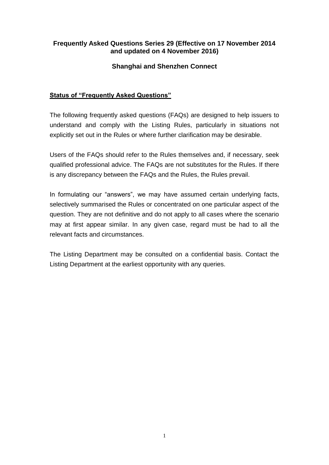## **Frequently Asked Questions Series 29 (Effective on 17 November 2014 and updated on 4 November 2016)**

# **Shanghai and Shenzhen Connect**

# **Status of "Frequently Asked Questions"**

The following frequently asked questions (FAQs) are designed to help issuers to understand and comply with the Listing Rules, particularly in situations not explicitly set out in the Rules or where further clarification may be desirable.

Users of the FAQs should refer to the Rules themselves and, if necessary, seek qualified professional advice. The FAQs are not substitutes for the Rules. If there is any discrepancy between the FAQs and the Rules, the Rules prevail.

In formulating our "answers", we may have assumed certain underlying facts, selectively summarised the Rules or concentrated on one particular aspect of the question. They are not definitive and do not apply to all cases where the scenario may at first appear similar. In any given case, regard must be had to all the relevant facts and circumstances.

The Listing Department may be consulted on a confidential basis. Contact the Listing Department at the earliest opportunity with any queries.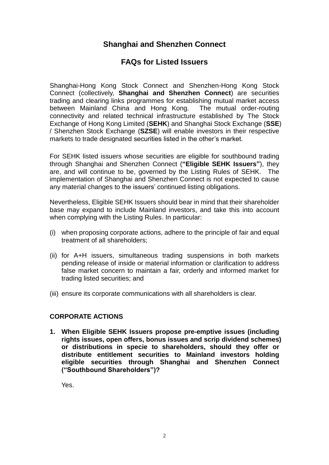# **Shanghai and Shenzhen Connect**

# **FAQs for Listed Issuers**

Shanghai-Hong Kong Stock Connect and Shenzhen-Hong Kong Stock Connect (collectively, **Shanghai and Shenzhen Connect**) are securities trading and clearing links programmes for establishing mutual market access between Mainland China and Hong Kong. The mutual order-routing connectivity and related technical infrastructure established by The Stock Exchange of Hong Kong Limited (**SEHK**) and Shanghai Stock Exchange (**SSE**) / Shenzhen Stock Exchange (**SZSE**) will enable investors in their respective markets to trade designated securities listed in the other's market.

For SEHK listed issuers whose securities are eligible for southbound trading through Shanghai and Shenzhen Connect (**"Eligible SEHK Issuers"**), they are, and will continue to be, governed by the Listing Rules of SEHK. The implementation of Shanghai and Shenzhen Connect is not expected to cause any material changes to the issuers' continued listing obligations.

Nevertheless, Eligible SEHK Issuers should bear in mind that their shareholder base may expand to include Mainland investors, and take this into account when complying with the Listing Rules. In particular:

- (i) when proposing corporate actions, adhere to the principle of fair and equal treatment of all shareholders;
- (ii) for A+H issuers, simultaneous trading suspensions in both markets pending release of inside or material information or clarification to address false market concern to maintain a fair, orderly and informed market for trading listed securities; and
- (iii) ensure its corporate communications with all shareholders is clear.

# **CORPORATE ACTIONS**

**1. When Eligible SEHK Issuers propose pre-emptive issues (including rights issues, open offers, bonus issues and scrip dividend schemes) or distributions in specie to shareholders, should they offer or distribute entitlement securities to Mainland investors holding eligible securities through Shanghai and Shenzhen Connect ("Southbound Shareholders")?**

Yes.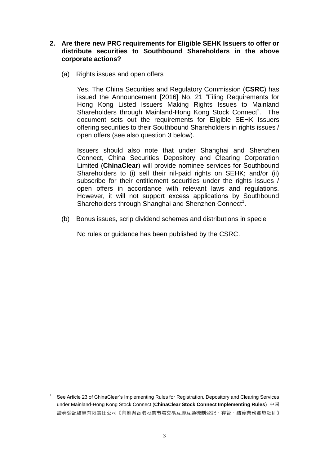## **2. Are there new PRC requirements for Eligible SEHK Issuers to offer or distribute securities to Southbound Shareholders in the above corporate actions?**

(a) Rights issues and open offers

Yes. The China Securities and Regulatory Commission (**CSRC**) has issued the Announcement [2016] No. 21 "Filing Requirements for Hong Kong Listed Issuers Making Rights Issues to Mainland Shareholders through Mainland-Hong Kong Stock Connect". The document sets out the requirements for Eligible SEHK Issuers offering securities to their Southbound Shareholders in rights issues / open offers (see also question 3 below).

Issuers should also note that under Shanghai and Shenzhen Connect, China Securities Depository and Clearing Corporation Limited (**ChinaClear**) will provide nominee services for Southbound Shareholders to (i) sell their nil-paid rights on SEHK; and/or (ii) subscribe for their entitlement securities under the rights issues / open offers in accordance with relevant laws and regulations. However, it will not support excess applications by Southbound Shareholders through Shanghai and Shenzhen Connect<sup>1</sup>.

(b) Bonus issues, scrip dividend schemes and distributions in specie

No rules or guidance has been published by the CSRC.

<sup>-</sup>1 See Article 23 of ChinaClear's Implementing Rules for Registration, Depository and Clearing Services under Mainland-Hong Kong Stock Connect (**ChinaClear Stock Connect Implementing Rules**) 中國 證券登記結算有限責任公司《內地與香港股票市場交易互聯互通機制登記、存管、結算業務實施細則》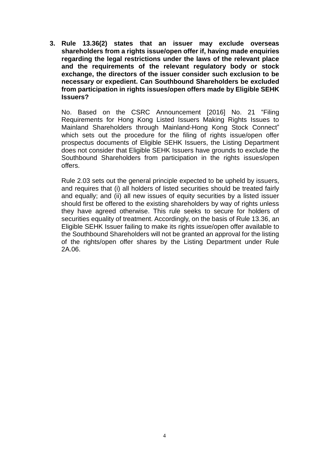**3. Rule 13.36(2) states that an issuer may exclude overseas shareholders from a rights issue/open offer if, having made enquiries regarding the legal restrictions under the laws of the relevant place and the requirements of the relevant regulatory body or stock exchange, the directors of the issuer consider such exclusion to be necessary or expedient. Can Southbound Shareholders be excluded from participation in rights issues/open offers made by Eligible SEHK Issuers?**

No. Based on the CSRC Announcement [2016] No. 21 "Filing Requirements for Hong Kong Listed Issuers Making Rights Issues to Mainland Shareholders through Mainland-Hong Kong Stock Connect" which sets out the procedure for the filing of rights issue/open offer prospectus documents of Eligible SEHK Issuers, the Listing Department does not consider that Eligible SEHK Issuers have grounds to exclude the Southbound Shareholders from participation in the rights issues/open offers.

Rule 2.03 sets out the general principle expected to be upheld by issuers, and requires that (i) all holders of listed securities should be treated fairly and equally; and (ii) all new issues of equity securities by a listed issuer should first be offered to the existing shareholders by way of rights unless they have agreed otherwise. This rule seeks to secure for holders of securities equality of treatment. Accordingly, on the basis of Rule 13.36, an Eligible SEHK Issuer failing to make its rights issue/open offer available to the Southbound Shareholders will not be granted an approval for the listing of the rights/open offer shares by the Listing Department under Rule 2A.06.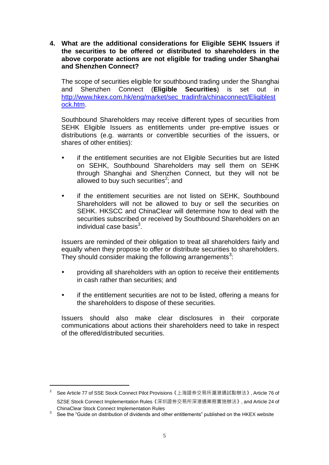**4. What are the additional considerations for Eligible SEHK Issuers if the securities to be offered or distributed to shareholders in the above corporate actions are not eligible for trading under Shanghai and Shenzhen Connect?**

The scope of securities eligible for southbound trading under the Shanghai and Shenzhen Connect (**Eligible Securities**) is set out in [http://www.hkex.com.hk/eng/market/sec\\_tradinfra/chinaconnect/Eligiblest](http://www.hkex.com.hk/eng/market/sec_tradinfra/chinaconnect/Eligiblestock.htm) [ock.htm.](http://www.hkex.com.hk/eng/market/sec_tradinfra/chinaconnect/Eligiblestock.htm)

Southbound Shareholders may receive different types of securities from SEHK Eligible Issuers as entitlements under pre-emptive issues or distributions (e.g. warrants or convertible securities of the issuers, or shares of other entities):

- if the entitlement securities are not Eligible Securities but are listed on SEHK, Southbound Shareholders may sell them on SEHK through Shanghai and Shenzhen Connect, but they will not be allowed to buy such securities $2$ ; and
- if the entitlement securities are not listed on SEHK, Southbound Shareholders will not be allowed to buy or sell the securities on SEHK. HKSCC and ChinaClear will determine how to deal with the securities subscribed or received by Southbound Shareholders on an individual case basis $^3$ .

Issuers are reminded of their obligation to treat all shareholders fairly and equally when they propose to offer or distribute securities to shareholders. They should consider making the following arrangements<sup>3</sup>:

- providing all shareholders with an option to receive their entitlements in cash rather than securities; and
- if the entitlement securities are not to be listed, offering a means for the shareholders to dispose of these securities.

Issuers should also make clear disclosures in their corporate communications about actions their shareholders need to take in respect of the offered/distributed securities.

-

 $^{\text{2}}$  See Article 77 of SSE Stock Connect Pilot Provisions《上海證券交易所滬港通試點辦法》, Article 76 of SZSE Stock Connect Implementation Rules《深圳證券交易所深港通業務實施辦法》, and Article 24 of ChinaClear Stock Connect Implementation Rules

<sup>3</sup> See the "Guide on distribution of dividends and other entitlements" published on the HKEX website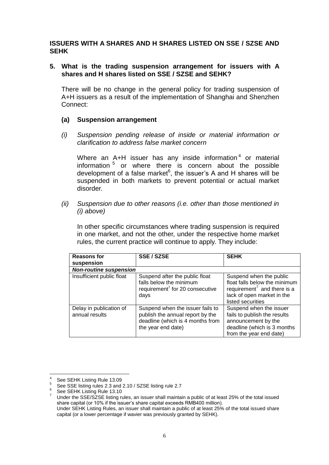#### **ISSUERS WITH A SHARES AND H SHARES LISTED ON SSE / SZSE AND SEHK**

#### **5. What is the trading suspension arrangement for issuers with A shares and H shares listed on SSE / SZSE and SEHK?**

There will be no change in the general policy for trading suspension of A+H issuers as a result of the implementation of Shanghai and Shenzhen Connect:

#### **(a) Suspension arrangement**

*(i) Suspension pending release of inside or material information or clarification to address false market concern*

Where an A+H issuer has any inside information<sup>4</sup> or material information <sup>5</sup> or where there is concern about the possible development of a false market $6$ , the issuer's A and H shares will be suspended in both markets to prevent potential or actual market disorder.

*(ii) Suspension due to other reasons (i.e. other than those mentioned in (i) above)*

In other specific circumstances where trading suspension is required in one market, and not the other, under the respective home market rules, the current practice will continue to apply. They include:

| <b>Reasons for</b><br>suspension          | <b>SSE / SZSE</b>                                                                                                              | <b>SEHK</b>                                                                                                                                            |  |  |
|-------------------------------------------|--------------------------------------------------------------------------------------------------------------------------------|--------------------------------------------------------------------------------------------------------------------------------------------------------|--|--|
| <b>Non-routine suspension</b>             |                                                                                                                                |                                                                                                                                                        |  |  |
| Insufficient public float                 | Suspend after the public float<br>falls below the minimum<br>requirement <sup>7</sup> for 20 consecutive<br>days               | Suspend when the public<br>float falls below the minimum<br>requirement <sup>7</sup> and there is a<br>lack of open market in the<br>listed securities |  |  |
| Delay in publication of<br>annual results | Suspend when the issuer fails to<br>publish the annual report by the<br>deadline (which is 4 months from<br>the year end date) | Suspend when the issuer<br>fails to publish the results<br>announcement by the<br>deadline (which is 3 months<br>from the year end date)               |  |  |

 4 See SEHK Listing Rule 13.09

<sup>&</sup>lt;sup>5</sup> See SSE listing rules 2.3 and 2.10 / SZSE listing rule 2.7

<sup>6</sup> See SEHK Listing Rule 13.10

<sup>7</sup> Under the SSE/SZSE listing rules, an issuer shall maintain a public of at least 25% of the total issued share capital (or 10% if the issuer's share capital exceeds RMB400 million). Under SEHK Listing Rules, an issuer shall maintain a public of at least 25% of the total issued share capital (or a lower percentage if wavier was previously granted by SEHK).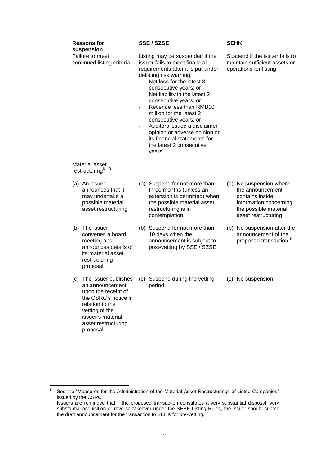| <b>Reasons for</b>                                                                                                                                                                         | SSE / SZSE                                                                                                                                                                                                                                                                                                                                                                                                                                                               | <b>SEHK</b>                                                                                                                              |
|--------------------------------------------------------------------------------------------------------------------------------------------------------------------------------------------|--------------------------------------------------------------------------------------------------------------------------------------------------------------------------------------------------------------------------------------------------------------------------------------------------------------------------------------------------------------------------------------------------------------------------------------------------------------------------|------------------------------------------------------------------------------------------------------------------------------------------|
| suspension                                                                                                                                                                                 |                                                                                                                                                                                                                                                                                                                                                                                                                                                                          |                                                                                                                                          |
| Failure to meet<br>continued listing criteria                                                                                                                                              | Listing may be suspended if the<br>issuer fails to meet financial<br>requirements after it is put under<br>delisting risk warning:<br>Net loss for the latest 3<br>consecutive years; or<br>Net liability in the latest 2<br>consecutive years; or<br>Revenue less than RMB10<br>million for the latest 2<br>consecutive years; or<br>Auditors issued a disclaimer<br>opinion or adverse opinion on<br>its financial statements for<br>the latest 2 consecutive<br>years | Suspend if the issuer fails to<br>maintain sufficient assets or<br>operations for listing                                                |
| Material asset<br>restructuring <sup>8, 10</sup>                                                                                                                                           |                                                                                                                                                                                                                                                                                                                                                                                                                                                                          |                                                                                                                                          |
| (a) An issuer<br>announces that it<br>may undertake a<br>possible material<br>asset restructuring                                                                                          | (a) Suspend for not more than<br>three months (unless an<br>extension is permitted) when<br>the possible material asset<br>restructuring is in<br>contemplation                                                                                                                                                                                                                                                                                                          | (a) No suspension where<br>the announcement<br>contains inside<br>information concerning<br>the possible material<br>asset restructuring |
| (b) The issuer<br>convenes a board<br>meeting and<br>announces details of<br>its material asset<br>restructuring<br>proposal                                                               | (b) Suspend for not more than<br>10 days when the<br>announcement is subject to<br>post-vetting by SSE / SZSE                                                                                                                                                                                                                                                                                                                                                            | (b) No suspension after the<br>announcement of the<br>proposed transaction. <sup>9</sup>                                                 |
| The issuer publishes<br>(c)<br>an announcement<br>upon the receipt of<br>the CSRC's notice in<br>relation to the<br>vetting of the<br>issuer's material<br>asset restructuring<br>proposal | (c) Suspend during the vetting<br>period                                                                                                                                                                                                                                                                                                                                                                                                                                 | (c) No suspension                                                                                                                        |

<sup>-&</sup>lt;br>8 See the "Measures for the Administration of the Material Asset Restructurings of Listed Companies" issued by the CSRC

<sup>9</sup> Issuers are reminded that if the proposed transaction constitutes a very substantial disposal, very substantial acquisition or reverse takeover under the SEHK Listing Rules, the issuer should submit the draft announcement for the transaction to SEHK for pre-vetting.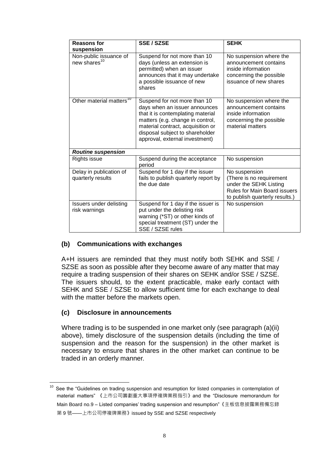| <b>Reasons for</b><br>suspension                   | <b>SSE / SZSE</b>                                                                                                                                                                                                                                | <b>SEHK</b>                                                                                                                                  |  |  |
|----------------------------------------------------|--------------------------------------------------------------------------------------------------------------------------------------------------------------------------------------------------------------------------------------------------|----------------------------------------------------------------------------------------------------------------------------------------------|--|--|
| Non-public issuance of<br>new shares <sup>10</sup> | Suspend for not more than 10<br>days (unless an extension is<br>permitted) when an issuer<br>announces that it may undertake<br>a possible issuance of new<br>shares                                                                             | No suspension where the<br>announcement contains<br>inside information<br>concerning the possible<br>issuance of new shares                  |  |  |
| Other material matters <sup>10</sup>               | Suspend for not more than 10<br>days when an issuer announces<br>that it is contemplating material<br>matters (e.g. change in control,<br>material contract, acquisition or<br>disposal subject to shareholder<br>approval, external investment) | No suspension where the<br>announcement contains<br>inside information<br>concerning the possible<br>material matters                        |  |  |
| <b>Routine suspension</b>                          |                                                                                                                                                                                                                                                  |                                                                                                                                              |  |  |
| <b>Rights issue</b>                                | Suspend during the acceptance<br>period                                                                                                                                                                                                          | No suspension                                                                                                                                |  |  |
| Delay in publication of<br>quarterly results       | Suspend for 1 day if the issuer<br>fails to publish quarterly report by<br>the due date                                                                                                                                                          | No suspension<br>(There is no requirement<br>under the SEHK Listing<br><b>Rules for Main Board issuers</b><br>to publish quarterly results.) |  |  |
| Issuers under delisting<br>risk warnings           | Suspend for 1 day if the issuer is<br>put under the delisting risk<br>warning (*ST) or other kinds of<br>special treatment (ST) under the<br>SSE / SZSE rules                                                                                    | No suspension                                                                                                                                |  |  |

## **(b) Communications with exchanges**

A+H issuers are reminded that they must notify both SEHK and SSE / SZSE as soon as possible after they become aware of any matter that may require a trading suspension of their shares on SEHK and/or SSE / SZSE. The issuers should, to the extent practicable, make early contact with SEHK and SSE / SZSE to allow sufficient time for each exchange to deal with the matter before the markets open.

## **(c) Disclosure in announcements**

Where trading is to be suspended in one market only (see paragraph (a)(ii) above), timely disclosure of the suspension details (including the time of suspension and the reason for the suspension) in the other market is necessary to ensure that shares in the other market can continue to be traded in an orderly manner.

 $\overline{\phantom{a}}$  $10$  See the "Guidelines on trading suspension and resumption for listed companies in contemplation of material matters" 《上市公司籌劃重大事項停複牌業務指引》and the "Disclosure memorandum for Main Board no.9 – Listed companies' trading suspension and resumption"《主板信息披露業務備忘錄 第 9 號——上市公司停複牌業務》issued by SSE and SZSE respectively